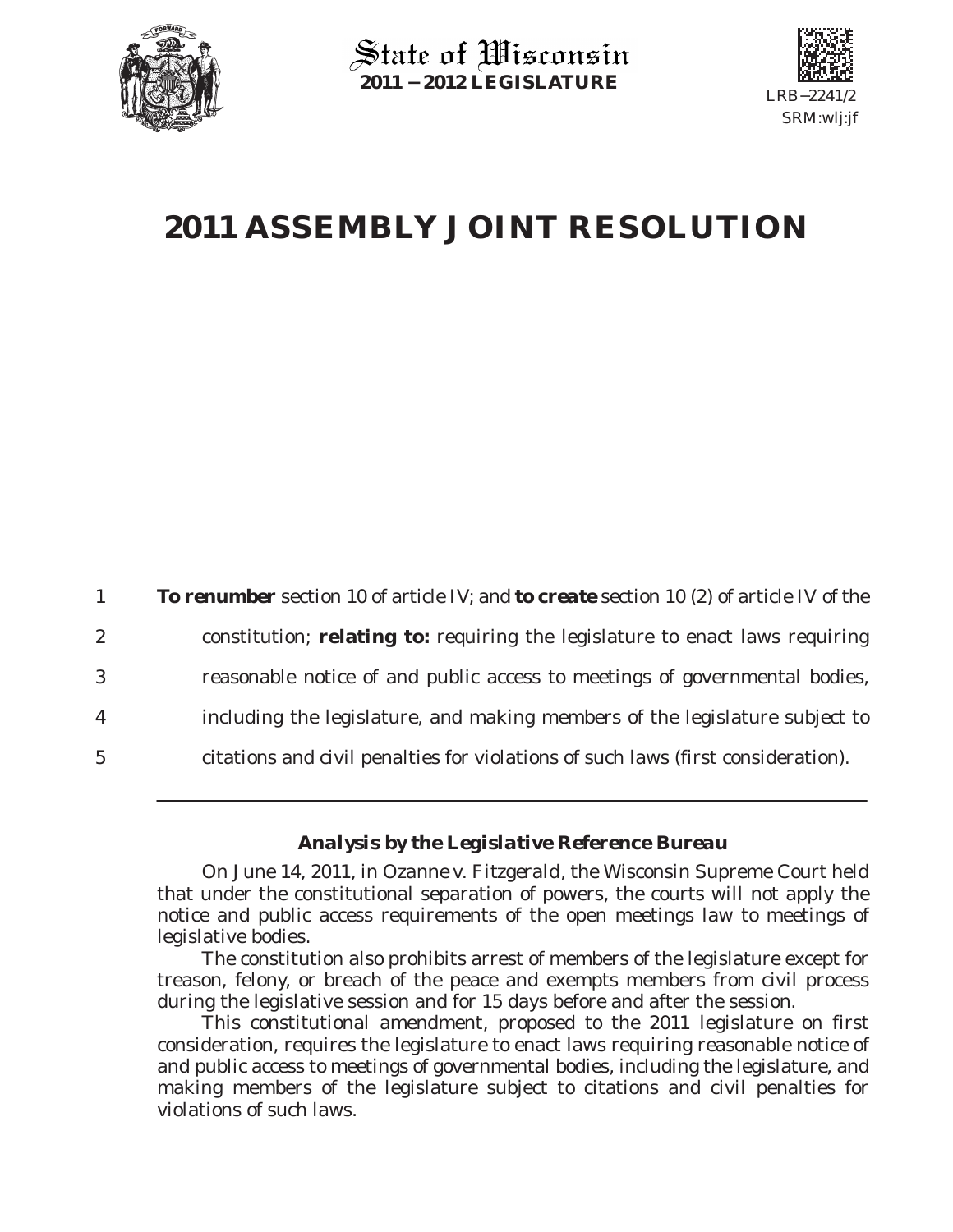

State of Wisconsin **2011 − 2012 LEGISLATURE**



## **2011 ASSEMBLY JOINT RESOLUTION**

|                 | <b>To renumber</b> section 10 of article IV; and <b>to create</b> section 10 (2) of article IV of the |
|-----------------|-------------------------------------------------------------------------------------------------------|
| $\overline{2}$  | constitution; relating to: requiring the legislature to enact laws requiring                          |
| 3               | reasonable notice of and public access to meetings of governmental bodies,                            |
| 4               | including the legislature, and making members of the legislature subject to                           |
| $5\overline{)}$ | citations and civil penalties for violations of such laws (first consideration).                      |

## *Analysis by the Legislative Reference Bureau*

On June 14, 2011, in *Ozanne v. Fitzgerald*, the Wisconsin Supreme Court held that under the constitutional separation of powers, the courts will not apply the notice and public access requirements of the open meetings law to meetings of legislative bodies.

The constitution also prohibits arrest of members of the legislature except for treason, felony, or breach of the peace and exempts members from civil process during the legislative session and for 15 days before and after the session.

This constitutional amendment, proposed to the 2011 legislature on first consideration, requires the legislature to enact laws requiring reasonable notice of and public access to meetings of governmental bodies, including the legislature, and making members of the legislature subject to citations and civil penalties for violations of such laws.